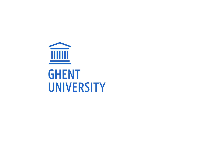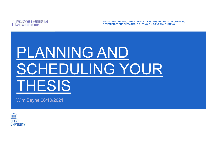

DEPARTMENT OF ELECTROMECHANICAL, SYSTEMS AND METAL ENGINEERING RESEARCH GROUP SUSTAINABLE THERMO-FLUID ENERGY SYSTEMS

# PLANNING AND ENGINEERING TRINITY OF ENGINEERING TRINITY OF ENGINEERING TRINITY OF ENGINEERING ENGINEERING ENGINEERING ENGINEERING ENGINEERING ENGINEERING ENGINEERING ENGINEERING ENGINEERING ENGINEERING ENGINEERING ENGINEERING ENGINEERI THESIS

Wim Beyne 26/10/2021

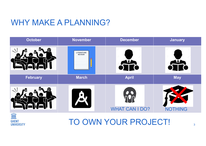#### WHY MAKE A PLANNING?





#### TO OWN YOUR PROJECT!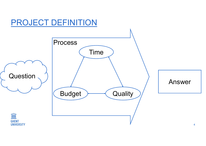### PROJECT DEFINITION

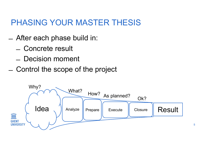## PHASING YOUR MASTER THESIS PHASING YOUR MASTER TI<br>- After each phase build in:<br>- Concrete result HASING YOUR MASTE<br>After each phase build in:<br>- Concrete result<br>- Decision moment HASING YOUR MASTE<br>After each phase build in:<br>- Concrete result<br>- Decision moment<br>Control the scope of the pro **PHASING YOUR MASTER THESIS**<br>
- After each phase build in:<br>
- Concrete result<br>
- Decision moment<br>
- Control the scope of the project<br>
- Why?

- -
	-
- 



5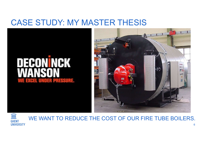#### CASE STUDY: MY MASTER THESIS







6 WE WANT TO REDUCE THE COST OF OUR FIRE TUBE BOILERS.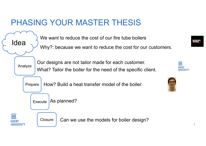#### PHASING YOUR MASTER THESIS

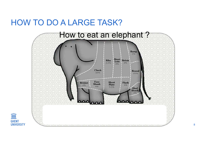#### HOW TO DO A LARGE TASK?

 $\widehat{\mathbb{H}}$ 

**GHENT UNIVERSITY** 

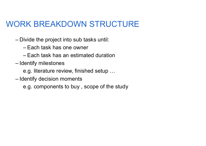## WORK BREAKDOWN STRUCTURE ORK BREAKDOWN STRUCTUE<br>
- Divide the project into sub tasks until:<br>
- Each task has one owner<br>
- Each task has an estimated duration RK BREAKDOWN STRU<br>
ivide the project into sub tasks until:<br>
– Each task has one owner<br>
– Each task has an estimated duration<br>
lentify milestones RK BREAKDOWN STRUCTURE<br>
ivide the project into sub tasks until:<br>
- Each task has one owner<br>
- Each task has an estimated duration<br>
lentify milestones<br>
e.g. literature review, finished setup **ORK BREAKDOWN STF**<br>- Divide the project into sub tasks ure<br>- Each task has one owner<br>- Each task has an estimated du<br>- Identify milestones<br>e.g. literature review, finished set<br>- Identify decision moments ORK BREAKDOWN STRUCT<br>
- Divide the project into sub tasks until:<br>
- Each task has one owner<br>
- Each task has an estimated duration<br>
- Identify milestones<br>
e.g. literature review, finished setup ...<br>
- Identify decision mom

e.g. literature review, finished setup …

 $\mathbf{A}$  is interested introductions of the  $\mathbf{A}$  days  $\mathbf{A}$ Write methods: 2 days and 2 days are considered in the construction of the construction of the construction of<br>A days are considered in the construction of the construction of the construction of the construction of the c e.g. components to buy , scope of the study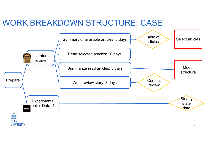#### WORK BREAKDOWN STRUCTURE: CASE

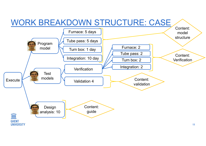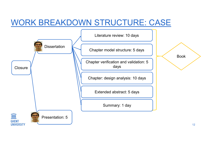#### WORK BREAKDOWN STRUCTURE: CASE

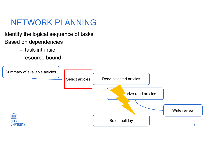#### NETWORK PLANNING

Identify the logical sequence of tasks Based on dependencies : ETWORK PLANNING<br>y the logical sequence of tasks<br>on dependencies :<br>- task-intrinsic<br>- resource bound

- 
- 

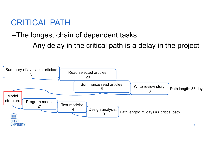#### CRITICAL PATH

### =The longest chain of dependent tasks Any delay in the critical path is a delay in the project

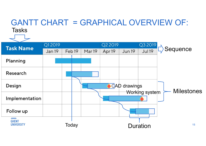#### GANTT CHART = GRAPHICAL OVERVIEW OF: **Tasks**

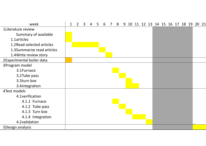| week                       |  | $1 \quad 2 \quad 3$ | $\overline{4}$ | $5\overline{)}$ | 6 7 |  |  |  |  |  |  | 8 9 10 11 12 13 14 15 16 17 18 19 20 21 |
|----------------------------|--|---------------------|----------------|-----------------|-----|--|--|--|--|--|--|-----------------------------------------|
| 1Literature review         |  |                     |                |                 |     |  |  |  |  |  |  |                                         |
| Summary of available       |  |                     |                |                 |     |  |  |  |  |  |  |                                         |
| 1.1articles                |  |                     |                |                 |     |  |  |  |  |  |  |                                         |
| 1.2 Read selected articles |  |                     |                |                 |     |  |  |  |  |  |  |                                         |
| 1.3Summarize read articles |  |                     |                |                 |     |  |  |  |  |  |  |                                         |
| 1.4 Write review story     |  |                     |                |                 |     |  |  |  |  |  |  |                                         |
| 2Experimental boiler data  |  |                     |                |                 |     |  |  |  |  |  |  |                                         |
| 3Program model             |  |                     |                |                 |     |  |  |  |  |  |  |                                         |
| 3.1Furnace                 |  |                     |                |                 |     |  |  |  |  |  |  |                                         |
| 3.2 Tube pass              |  |                     |                |                 |     |  |  |  |  |  |  |                                         |
| 3.3turn box                |  |                     |                |                 |     |  |  |  |  |  |  |                                         |
| 3.4integration             |  |                     |                |                 |     |  |  |  |  |  |  |                                         |
| 4Test models               |  |                     |                |                 |     |  |  |  |  |  |  |                                         |
| 4.1 verification           |  |                     |                |                 |     |  |  |  |  |  |  |                                         |
| 4.1.1 Furnace              |  |                     |                |                 |     |  |  |  |  |  |  |                                         |
| 4.1.2 Tube pass            |  |                     |                |                 |     |  |  |  |  |  |  |                                         |
| 4.1.3 Turn box             |  |                     |                |                 |     |  |  |  |  |  |  |                                         |
| 4.1.4 Integration          |  |                     |                |                 |     |  |  |  |  |  |  |                                         |
| 4.2 validation             |  |                     |                |                 |     |  |  |  |  |  |  |                                         |
| 5Design analysis           |  |                     |                |                 |     |  |  |  |  |  |  |                                         |
|                            |  |                     |                |                 |     |  |  |  |  |  |  |                                         |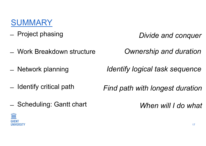#### **SUMMARY**

- **SUMMARY**<br>- Project phasing<br>Work Broakdown structure
- **SUMMARY**<br>
 Project phasing<br>
 Work Breakdown structure *Owr*<br>
 Notwork planning *Montify Is* **SUMMARY**<br>
- Project phasing<br>
- Work Breakdown structure<br>
- Network planning<br>
- Hentify critical path – Project phasing<br>
– Work Breakdown structure<br>
– Network planning *Ide*<br>
– Identify critical path *Find*<br>
Schoduling: Contt chart – Work Breakdown structure<br>– Network planning<br>– Identify critical path<br>– Scheduling: Gantt chart
- 
- 
- 

Divide and conquer

Ownership and duration

Identify logical task sequence

Find path with longest duration

When will I do what

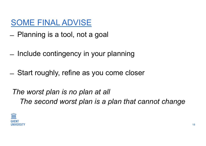#### SOME FINAL ADVISE

- SOME FINAL ADVISE<br>- Planning is a tool, not a goal
- SOME FINAL ADVISE<br>
 Planning is a tool, not a goal<br>
 Include contingency in your planning<br>
 City of the summary of the summary of the summary of the summary of the summary of the summary of the summary
- SOME FINAL ADVISE<br>
 Planning is a tool, not a goal<br>
 Include contingency in your planning<br>
 Start roughly, refine as you come closer

The worst plan is no plan at all The second worst plan is a plan that cannot change